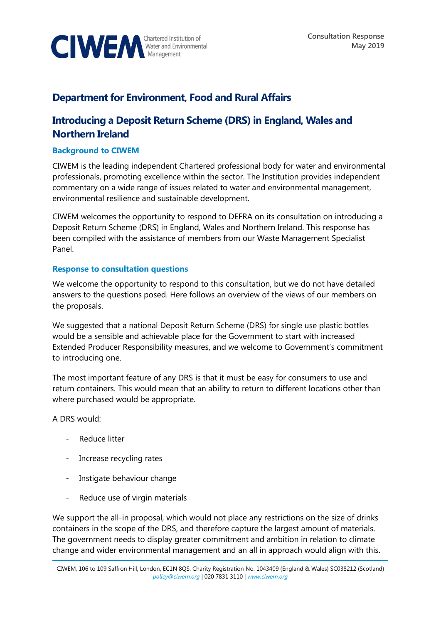

## **Department for Environment, Food and Rural Affairs**

## **Introducing a Deposit Return Scheme (DRS) in England, Wales and Northern Ireland**

## **Background to CIWEM**

CIWEM is the leading independent Chartered professional body for water and environmental professionals, promoting excellence within the sector. The Institution provides independent commentary on a wide range of issues related to water and environmental management, environmental resilience and sustainable development.

CIWEM welcomes the opportunity to respond to DEFRA on its consultation on introducing a Deposit Return Scheme (DRS) in England, Wales and Northern Ireland. This response has been compiled with the assistance of members from our Waste Management Specialist Panel.

## **Response to consultation questions**

We welcome the opportunity to respond to this consultation, but we do not have detailed answers to the questions posed. Here follows an overview of the views of our members on the proposals.

We suggested that a national Deposit Return Scheme (DRS) for single use plastic bottles would be a sensible and achievable place for the Government to start with increased Extended Producer Responsibility measures, and we welcome to Government's commitment to introducing one.

The most important feature of any DRS is that it must be easy for consumers to use and return containers. This would mean that an ability to return to different locations other than where purchased would be appropriate.

A DRS would:

- Reduce litter
- Increase recycling rates
- Instigate behaviour change
- Reduce use of virgin materials

We support the all-in proposal, which would not place any restrictions on the size of drinks containers in the scope of the DRS, and therefore capture the largest amount of materials. The government needs to display greater commitment and ambition in relation to climate change and wider environmental management and an all in approach would align with this.

CIWEM, 106 to 109 Saffron Hill, London, EC1N 8QS. Charity Registration No. 1043409 (England & Wales) SC038212 (Scotland) *[policy@ciwem.org](mailto:policy@ciwem.org)* | 020 7831 3110 | *[www.ciwem.org](http://www.ciwem.org/)*